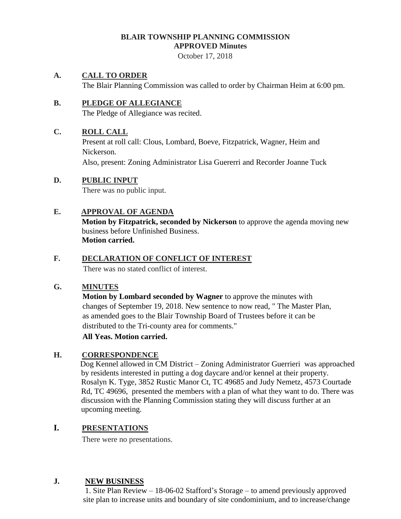### **BLAIR TOWNSHIP PLANNING COMMISSION APPROVED Minutes**

October 17, 2018

#### **A. CALL TO ORDER**

The Blair Planning Commission was called to order by Chairman Heim at 6:00 pm.

# **B. PLEDGE OF ALLEGIANCE**

The Pledge of Allegiance was recited.

#### **C. ROLL CALL**

Present at roll call: Clous, Lombard, Boeve, Fitzpatrick, Wagner, Heim and Nickerson.

Also, present: Zoning Administrator Lisa Guererri and Recorder Joanne Tuck

# **D. PUBLIC INPUT**

There was no public input.

# **E. APPROVAL OF AGENDA**

**Motion by Fitzpatrick, seconded by Nickerson** to approve the agenda moving new business before Unfinished Business. **Motion carried.**

# **F. DECLARATION OF CONFLICT OF INTEREST**

There was no stated conflict of interest.

#### **G. MINUTES**

**Motion by Lombard seconded by Wagner** to approve the minutes with changes of September 19, 2018. New sentence to now read, " The Master Plan, as amended goes to the Blair Township Board of Trustees before it can be distributed to the Tri-county area for comments."

#### **All Yeas. Motion carried.**

#### **H. CORRESPONDENCE**

Dog Kennel allowed in CM District – Zoning Administrator Guerrieri was approached by residents interested in putting a dog daycare and/or kennel at their property. Rosalyn K. Tyge, 3852 Rustic Manor Ct, TC 49685 and Judy Nemetz, 4573 Courtade Rd, TC 49696, presented the members with a plan of what they want to do. There was discussion with the Planning Commission stating they will discuss further at an upcoming meeting.

#### **I. PRESENTATIONS**

There were no presentations.

#### **J. NEW BUSINESS**

1. Site Plan Review – 18-06-02 Stafford's Storage – to amend previously approved site plan to increase units and boundary of site condominium, and to increase/change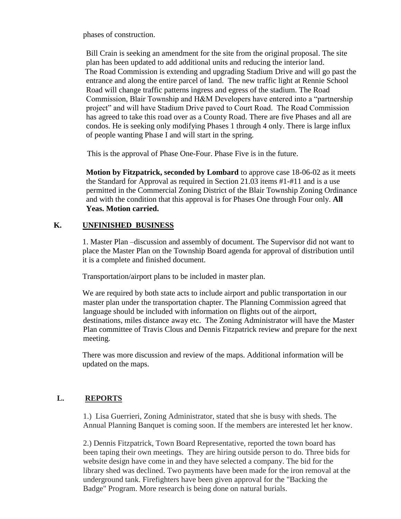phases of construction.

Bill Crain is seeking an amendment for the site from the original proposal. The site plan has been updated to add additional units and reducing the interior land. The Road Commission is extending and upgrading Stadium Drive and will go past the entrance and along the entire parcel of land. The new traffic light at Rennie School Road will change traffic patterns ingress and egress of the stadium. The Road Commission, Blair Township and H&M Developers have entered into a "partnership project" and will have Stadium Drive paved to Court Road. The Road Commission has agreed to take this road over as a County Road. There are five Phases and all are condos. He is seeking only modifying Phases 1 through 4 only. There is large influx of people wanting Phase I and will start in the spring.

This is the approval of Phase One-Four. Phase Five is in the future.

**Motion by Fitzpatrick, seconded by Lombard** to approve case 18-06-02 as it meets the Standard for Approval as required in Section 21.03 items #1-#11 and is a use permitted in the Commercial Zoning District of the Blair Township Zoning Ordinance and with the condition that this approval is for Phases One through Four only. **All Yeas. Motion carried.**

#### **K. UNFINISHED BUSINESS**

1. Master Plan –discussion and assembly of document. The Supervisor did not want to place the Master Plan on the Township Board agenda for approval of distribution until it is a complete and finished document.

Transportation/airport plans to be included in master plan.

We are required by both state acts to include airport and public transportation in our master plan under the transportation chapter. The Planning Commission agreed that language should be included with information on flights out of the airport, destinations, miles distance away etc. The Zoning Administrator will have the Master Plan committee of Travis Clous and Dennis Fitzpatrick review and prepare for the next meeting.

There was more discussion and review of the maps. Additional information will be updated on the maps.

#### **L. REPORTS**

1.) Lisa Guerrieri, Zoning Administrator, stated that she is busy with sheds. The Annual Planning Banquet is coming soon. If the members are interested let her know.

2.) Dennis Fitzpatrick, Town Board Representative, reported the town board has been taping their own meetings. They are hiring outside person to do. Three bids for website design have come in and they have selected a company. The bid for the library shed was declined. Two payments have been made for the iron removal at the underground tank. Firefighters have been given approval for the "Backing the Badge" Program. More research is being done on natural burials.